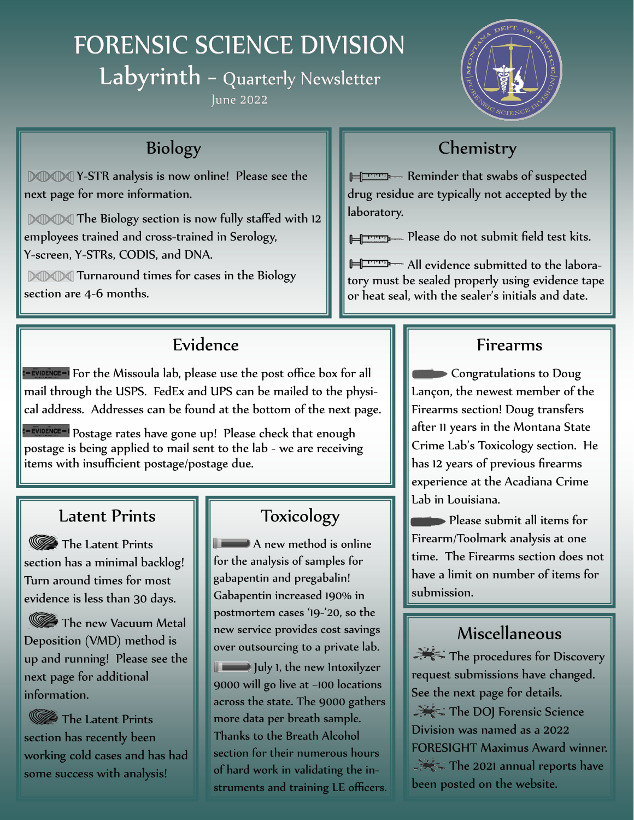# FORENSIC SCIENCE DIVISION

Labyrinth - Quarterly Newsletter

lune 2022



## Biology

**MMM** Y-STR analysis is now online! Please see the next page for more information.

**DODO** The Biology section is now fully staffed with 12 employees trained and cross-trained in Serology, Y-screen, Y-STRs, CODIS, and DNA.

**MMM** Turnaround times for cases in the Biology section are 4-6 months.

## Evidence

**E-EVIDENCE-I** For the Missoula lab, please use the post office box for all mail through the USPS. FedEx and UPS can be mailed to the physical address. Addresses can be found at the bottom of the next page.

FRIDENCE-I Postage rates have gone up! Please check that enough postage is being applied to mail sent to the lab - we are receiving items with insufficient postage/postage due.

## Latent Prints

The Latent Prints section has a minimal backlog! Turn around times for most evidence is less than 30 days.

The new Vacuum Metal Deposition (VMD) method is up and running! Please see the next page for additional information.

The Latent Prints section has recently been working cold cases and has had some success with analysis!

## Toxicology

**A** new method is online for the analysis of samples for gabapentin and pregabalin! Gabapentin increased 190% in postmortem cases '19-'20, so the new service provides cost savings over outsourcing to a private lab. **July 1, the new Intoxilyzer** 9000 will go live at ~100 locations across the state. The 9000 gathers more data per breath sample. Thanks to the Breath Alcohol section for their numerous hours of hard work in validating the instruments and training LE officers.

## **Chemistry**

**HUPPER Reminder that swabs of suspected** drug residue are typically not accepted by the laboratory.

**Please do not submit field test kits.** 

All evidence submitted to the laboratory must be sealed properly using evidence tape or heat seal, with the sealer's initials and date.

### Firearms

Congratulations to Doug Lançon, the newest member of the Firearms section! Doug transfers after 11 years in the Montana State Crime Lab's Toxicology section. He has 12 years of previous firearms experience at the Acadiana Crime Lab in Louisiana.

**Please submit all items for** Firearm/Toolmark analysis at one time. The Firearms section does not have a limit on number of items for submission.

## Miscellaneous

The procedures for Discovery request submissions have changed. See the next page for details. The DOJ Forensic Science Division was named as a 2022 FORESIGHT Maximus Award winner.  $\rightarrow$  The 2021 annual reports have been posted on the website.